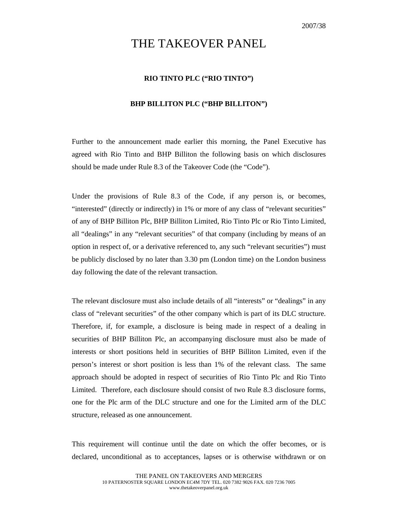## THE TAKEOVER PANEL

## **RIO TINTO PLC ("RIO TINTO")**

## **BHP BILLITON PLC ("BHP BILLITON")**

Further to the announcement made earlier this morning, the Panel Executive has agreed with Rio Tinto and BHP Billiton the following basis on which disclosures should be made under Rule 8.3 of the Takeover Code (the "Code").

Under the provisions of Rule 8.3 of the Code, if any person is, or becomes, "interested" (directly or indirectly) in 1% or more of any class of "relevant securities" of any of BHP Billiton Plc, BHP Billiton Limited, Rio Tinto Plc or Rio Tinto Limited, all "dealings" in any "relevant securities" of that company (including by means of an option in respect of, or a derivative referenced to, any such "relevant securities") must be publicly disclosed by no later than 3.30 pm (London time) on the London business day following the date of the relevant transaction.

The relevant disclosure must also include details of all "interests" or "dealings" in any class of "relevant securities" of the other company which is part of its DLC structure. Therefore, if, for example, a disclosure is being made in respect of a dealing in securities of BHP Billiton Plc, an accompanying disclosure must also be made of interests or short positions held in securities of BHP Billiton Limited, even if the person's interest or short position is less than 1% of the relevant class. The same approach should be adopted in respect of securities of Rio Tinto Plc and Rio Tinto Limited. Therefore, each disclosure should consist of two Rule 8.3 disclosure forms, one for the Plc arm of the DLC structure and one for the Limited arm of the DLC structure, released as one announcement.

This requirement will continue until the date on which the offer becomes, or is declared, unconditional as to acceptances, lapses or is otherwise withdrawn or on